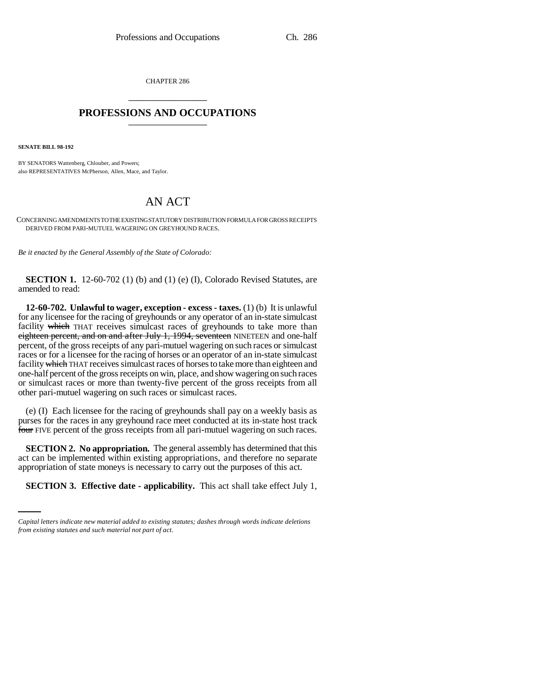CHAPTER 286 \_\_\_\_\_\_\_\_\_\_\_\_\_\_\_

## **PROFESSIONS AND OCCUPATIONS** \_\_\_\_\_\_\_\_\_\_\_\_\_\_\_

**SENATE BILL 98-192**

BY SENATORS Wattenberg, Chlouber, and Powers; also REPRESENTATIVES McPherson, Allen, Mace, and Taylor.

## AN ACT

CONCERNING AMENDMENTS TO THE EXISTING STATUTORY DISTRIBUTION FORMULA FOR GROSS RECEIPTS DERIVED FROM PARI-MUTUEL WAGERING ON GREYHOUND RACES.

*Be it enacted by the General Assembly of the State of Colorado:*

**SECTION 1.** 12-60-702 (1) (b) and (1) (e) (I), Colorado Revised Statutes, are amended to read:

**12-60-702. Unlawful to wager, exception - excess - taxes.** (1) (b) It is unlawful for any licensee for the racing of greyhounds or any operator of an in-state simulcast facility which THAT receives simulcast races of greyhounds to take more than eighteen percent, and on and after July 1, 1994, seventeen NINETEEN and one-half percent, of the gross receipts of any pari-mutuel wagering on such races or simulcast races or for a licensee for the racing of horses or an operator of an in-state simulcast facility which THAT receives simulcast races of horses to take more than eighteen and one-half percent of the gross receipts on win, place, and show wagering on such races or simulcast races or more than twenty-five percent of the gross receipts from all other pari-mutuel wagering on such races or simulcast races.

(e) (I) Each licensee for the racing of greyhounds shall pay on a weekly basis as purses for the races in any greyhound race meet conducted at its in-state host track four FIVE percent of the gross receipts from all pari-mutuel wagering on such races.

appropriation of state moneys is necessary to carry out the purposes of this act. **SECTION 2. No appropriation.** The general assembly has determined that this act can be implemented within existing appropriations, and therefore no separate

**SECTION 3. Effective date - applicability.** This act shall take effect July 1,

*Capital letters indicate new material added to existing statutes; dashes through words indicate deletions from existing statutes and such material not part of act.*